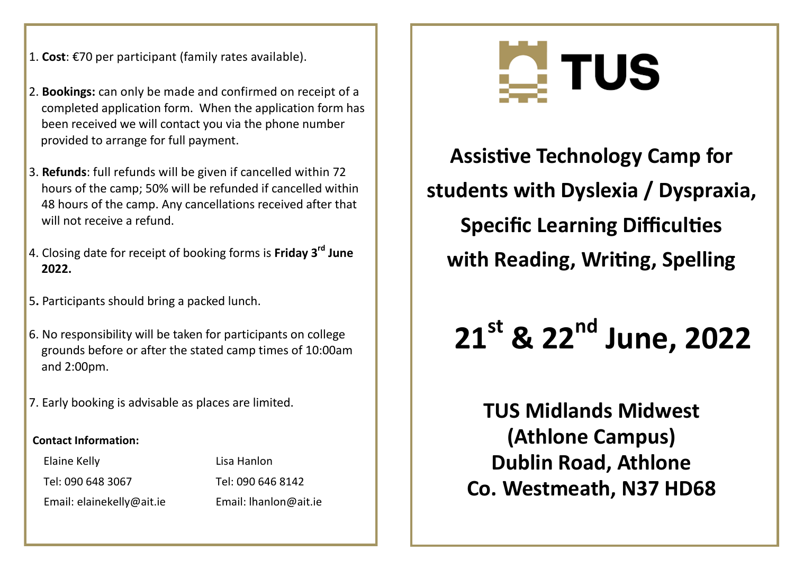- 1. **Cost**: €70 per participant (family rates available).
- 2. **Bookings:** can only be made and confirmed on receipt of a completed application form. When the application form has been received we will contact you via the phone number provided to arrange for full payment.
- 3. **Refunds**: full refunds will be given if cancelled within 72 hours of the camp; 50% will be refunded if cancelled within 48 hours of the camp. Any cancellations received after that will not receive a refund.
- 4. Closing date for receipt of booking forms is **Friday 3rd June 2022.**
- 5**.** Participants should bring a packed lunch.
- 6. No responsibility will be taken for participants on college grounds before or after the stated camp times of 10:00am and 2:00pm.
- 7. Early booking is advisable as places are limited.

#### **Contact Information:**

Elaine Kelly **Lisa Hanlon** 

Email: elainekelly@ait.ie Email: lhanlon@ait.ie

Tel: 090 648 3067 Tel: 090 646 8142



**Assistive Technology Camp for students with Dyslexia / Dyspraxia, Specific Learning Difficulties with Reading, Writing, Spelling**

# **21st & 22nd June, 2022**

**TUS Midlands Midwest (Athlone Campus) Dublin Road, Athlone Co. Westmeath, N37 HD68**